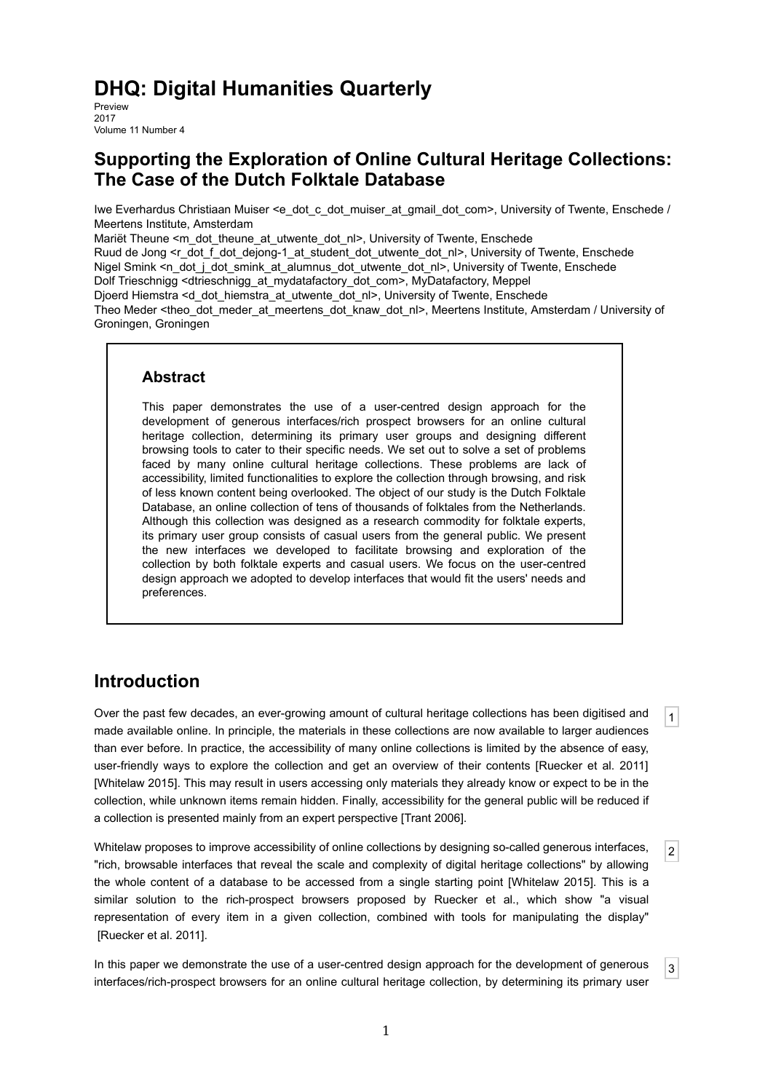# **DHQ: Digital Humanities Quarterly**

Preview 2017 Volume 11 Number 4

## **Supporting the Exploration of Online Cultural Heritage Collections: The Case of the Dutch Folktale Database**

Iwe Everhardus Christiaan Muiser <e\_dot\_c\_dot\_muiser\_at\_gmail\_dot\_com>, University of Twente, Enschede / Meertens Institute, Amsterdam

Mariët Theune <m\_dot\_theune\_at\_utwente\_dot\_nl>, University of Twente, Enschede

Ruud de Jong <r\_dot\_f\_dot\_dejong-1\_at\_student\_dot\_utwente\_dot\_nl>, University of Twente, Enschede Nigel Smink <n\_dot\_j\_dot\_smink\_at\_alumnus\_dot\_utwente\_dot\_nl>, University of Twente, Enschede Dolf Trieschnigg <dtrieschnigg\_at\_mydatafactory\_dot\_com>, MyDatafactory, Meppel Djoerd Hiemstra <d\_dot\_hiemstra\_at\_utwente\_dot\_nl>, University of Twente, Enschede

Theo Meder <theo\_dot\_meder\_at\_meertens\_dot\_knaw\_dot\_nl>, Meertens Institute, Amsterdam / University of Groningen, Groningen

#### **Abstract**

This paper demonstrates the use of a user-centred design approach for the development of generous interfaces/rich prospect browsers for an online cultural heritage collection, determining its primary user groups and designing different browsing tools to cater to their specific needs. We set out to solve a set of problems faced by many online cultural heritage collections. These problems are lack of accessibility, limited functionalities to explore the collection through browsing, and risk of less known content being overlooked. The object of our study is the Dutch Folktale Database, an online collection of tens of thousands of folktales from the Netherlands. Although this collection was designed as a research commodity for folktale experts, its primary user group consists of casual users from the general public. We present the new interfaces we developed to facilitate browsing and exploration of the collection by both folktale experts and casual users. We focus on the user-centred design approach we adopted to develop interfaces that would fit the users' needs and preferences.

## **Introduction**

 $|1|$ Over the past few decades, an ever-growing amount of cultural heritage collections has been digitised and made available online. In principle, the materials in these collections are now available to larger audiences than ever before. In practice, the accessibility of many online collections is limited by the absence of easy, user-friendly ways to explore the collection and get an overview of their contents [Ruecker et al. 2011] [Whitelaw 2015]. This may result in users accessing only materials they already know or expect to be in the collection, while unknown items remain hidden. Finally, accessibility for the general public will be reduced if a collection is presented mainly from an expert perspective [Trant 2006].

 $|2|$ Whitelaw proposes to improve accessibility of online collections by designing so-called generous interfaces, "rich, browsable interfaces that reveal the scale and complexity of digital heritage collections" by allowing the whole content of a database to be accessed from a single starting point [Whitelaw 2015]. This is a similar solution to the rich-prospect browsers proposed by Ruecker et al., which show "a visual representation of every item in a given collection, combined with tools for manipulating the display" [Ruecker et al. 2011].

3 In this paper we demonstrate the use of a user-centred design approach for the development of generous interfaces/rich-prospect browsers for an online cultural heritage collection, by determining its primary user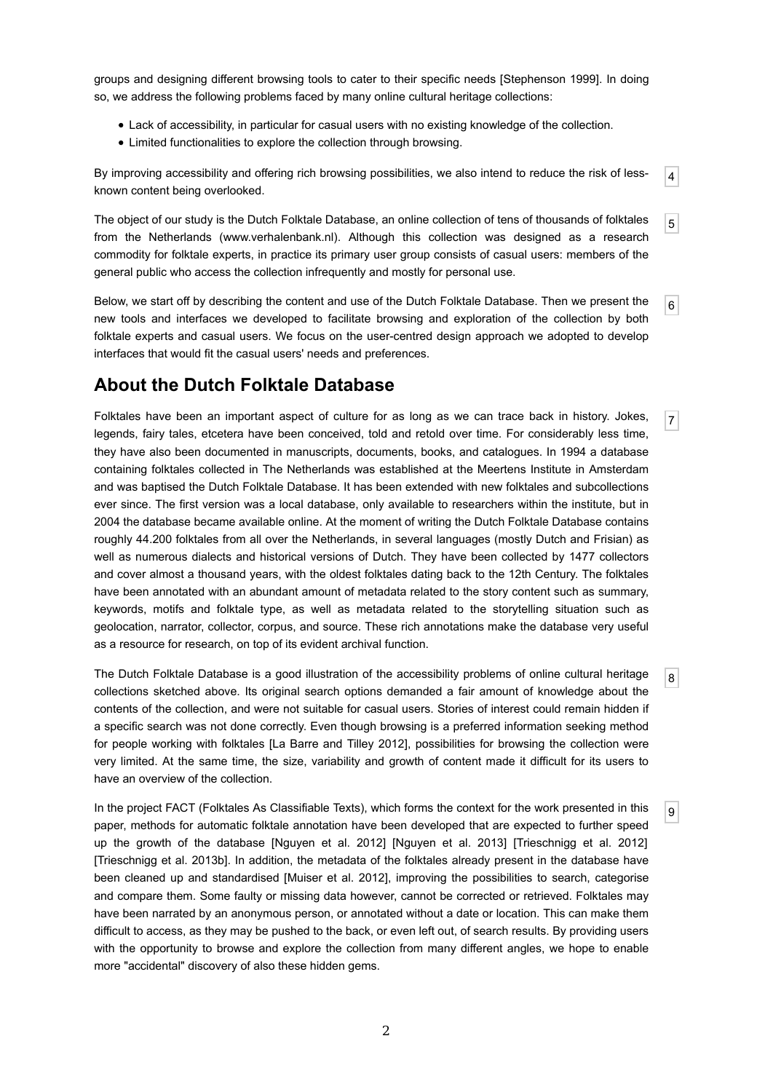groups and designing different browsing tools to cater to their specific needs [Stephenson 1999]. In doing so, we address the following problems faced by many online cultural heritage collections:

- Lack of accessibility, in particular for casual users with no existing knowledge of the collection.
- Limited functionalities to explore the collection through browsing.

By improving accessibility and offering rich browsing possibilities, we also intend to reduce the risk of lessknown content being overlooked.

4

5

7

8

9

The object of our study is the Dutch Folktale Database, an online collection of tens of thousands of folktales from the Netherlands (www.verhalenbank.nl). Although this collection was designed as a research commodity for folktale experts, in practice its primary user group consists of casual users: members of the general public who access the collection infrequently and mostly for personal use.

6 Below, we start off by describing the content and use of the Dutch Folktale Database. Then we present the new tools and interfaces we developed to facilitate browsing and exploration of the collection by both folktale experts and casual users. We focus on the user-centred design approach we adopted to develop interfaces that would fit the casual users' needs and preferences.

## **About the Dutch Folktale Database**

Folktales have been an important aspect of culture for as long as we can trace back in history. Jokes, legends, fairy tales, etcetera have been conceived, told and retold over time. For considerably less time, they have also been documented in manuscripts, documents, books, and catalogues. In 1994 a database containing folktales collected in The Netherlands was established at the Meertens Institute in Amsterdam and was baptised the Dutch Folktale Database. It has been extended with new folktales and subcollections ever since. The first version was a local database, only available to researchers within the institute, but in 2004 the database became available online. At the moment of writing the Dutch Folktale Database contains roughly 44.200 folktales from all over the Netherlands, in several languages (mostly Dutch and Frisian) as well as numerous dialects and historical versions of Dutch. They have been collected by 1477 collectors and cover almost a thousand years, with the oldest folktales dating back to the 12th Century. The folktales have been annotated with an abundant amount of metadata related to the story content such as summary, keywords, motifs and folktale type, as well as metadata related to the storytelling situation such as geolocation, narrator, collector, corpus, and source. These rich annotations make the database very useful as a resource for research, on top of its evident archival function.

The Dutch Folktale Database is a good illustration of the accessibility problems of online cultural heritage collections sketched above. Its original search options demanded a fair amount of knowledge about the contents of the collection, and were not suitable for casual users. Stories of interest could remain hidden if a specific search was not done correctly. Even though browsing is a preferred information seeking method for people working with folktales [La Barre and Tilley 2012], possibilities for browsing the collection were very limited. At the same time, the size, variability and growth of content made it difficult for its users to have an overview of the collection.

In the project FACT (Folktales As Classifiable Texts), which forms the context for the work presented in this paper, methods for automatic folktale annotation have been developed that are expected to further speed up the growth of the database [Nguyen et al. 2012] [Nguyen et al. 2013] [Trieschnigg et al. 2012] [Trieschnigg et al. 2013b]. In addition, the metadata of the folktales already present in the database have been cleaned up and standardised [Muiser et al. 2012], improving the possibilities to search, categorise and compare them. Some faulty or missing data however, cannot be corrected or retrieved. Folktales may have been narrated by an anonymous person, or annotated without a date or location. This can make them difficult to access, as they may be pushed to the back, or even left out, of search results. By providing users with the opportunity to browse and explore the collection from many different angles, we hope to enable more "accidental" discovery of also these hidden gems.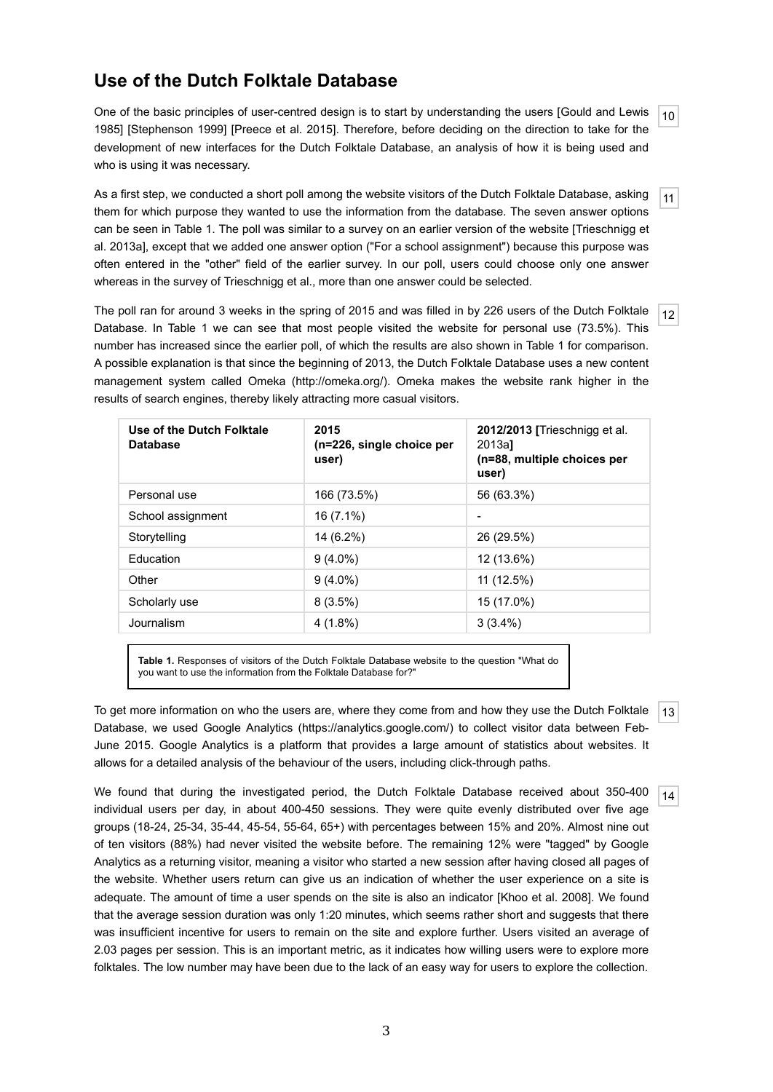# **Use of the Dutch Folktale Database**

10 One of the basic principles of user-centred design is to start by understanding the users [Gould and Lewis 1985] [Stephenson 1999] [Preece et al. 2015]. Therefore, before deciding on the direction to take for the development of new interfaces for the Dutch Folktale Database, an analysis of how it is being used and who is using it was necessary.

11 As a first step, we conducted a short poll among the website visitors of the Dutch Folktale Database, asking them for which purpose they wanted to use the information from the database. The seven answer options can be seen in Table 1. The poll was similar to a survey on an earlier version of the website [Trieschnigg et al. 2013a], except that we added one answer option ("For a school assignment") because this purpose was often entered in the "other" field of the earlier survey. In our poll, users could choose only one answer whereas in the survey of Trieschnigg et al., more than one answer could be selected.

The poll ran for around 3 weeks in the spring of 2015 and was filled in by 226 users of the Dutch Folktale Database. In Table 1 we can see that most people visited the website for personal use (73.5%). This number has increased since the earlier poll, of which the results are also shown in Table 1 for comparison. A possible explanation is that since the beginning of 2013, the Dutch Folktale Database uses a new content management system called Omeka (http://omeka.org/). Omeka makes the website rank higher in the results of search engines, thereby likely attracting more casual visitors.

12

| Use of the Dutch Folktale<br><b>Database</b> | 2015<br>(n=226, single choice per<br>user) | 2012/2013 [Trieschnigg et al.<br>2013a1<br>(n=88, multiple choices per<br>user) |
|----------------------------------------------|--------------------------------------------|---------------------------------------------------------------------------------|
| Personal use                                 | 166 (73.5%)                                | 56 (63.3%)                                                                      |
| School assignment                            | $16(7.1\%)$                                | $\overline{\phantom{a}}$                                                        |
| Storytelling                                 | 14 (6.2%)                                  | 26 (29.5%)                                                                      |
| <b>Education</b>                             | $9(4.0\%)$                                 | 12 (13.6%)                                                                      |
| Other                                        | $9(4.0\%)$                                 | 11 (12.5%)                                                                      |
| Scholarly use                                | $8(3.5\%)$                                 | 15 (17.0%)                                                                      |
| Journalism                                   | $4(1.8\%)$                                 | $3(3.4\%)$                                                                      |

**Table 1.** Responses of visitors of the Dutch Folktale Database website to the question "What do you want to use the information from the Folktale Database for?"

13 To get more information on who the users are, where they come from and how they use the Dutch Folktale Database, we used Google Analytics (https://analytics.google.com/) to collect visitor data between Feb-June 2015. Google Analytics is a platform that provides a large amount of statistics about websites. It allows for a detailed analysis of the behaviour of the users, including click-through paths.

14 We found that during the investigated period, the Dutch Folktale Database received about 350-400 individual users per day, in about 400-450 sessions. They were quite evenly distributed over five age groups (18-24, 25-34, 35-44, 45-54, 55-64, 65+) with percentages between 15% and 20%. Almost nine out of ten visitors (88%) had never visited the website before. The remaining 12% were "tagged" by Google Analytics as a returning visitor, meaning a visitor who started a new session after having closed all pages of the website. Whether users return can give us an indication of whether the user experience on a site is adequate. The amount of time a user spends on the site is also an indicator [Khoo et al. 2008]. We found that the average session duration was only 1:20 minutes, which seems rather short and suggests that there was insufficient incentive for users to remain on the site and explore further. Users visited an average of 2.03 pages per session. This is an important metric, as it indicates how willing users were to explore more folktales. The low number may have been due to the lack of an easy way for users to explore the collection.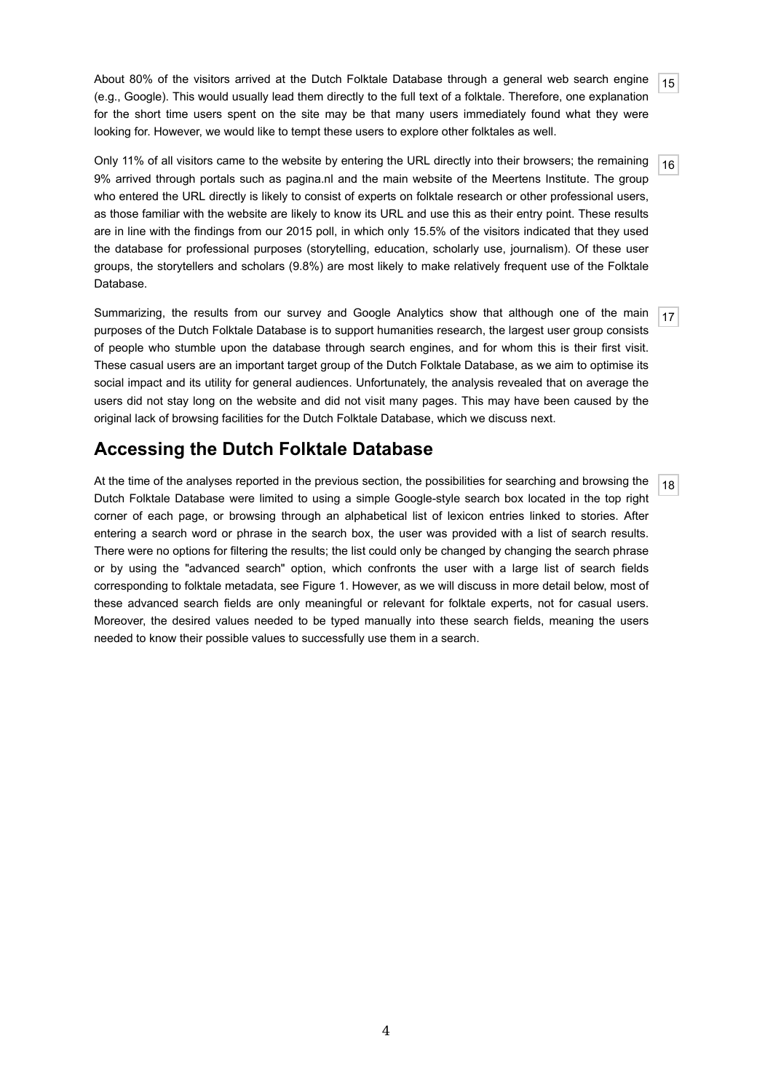15 About 80% of the visitors arrived at the Dutch Folktale Database through a general web search engine (e.g., Google). This would usually lead them directly to the full text of a folktale. Therefore, one explanation for the short time users spent on the site may be that many users immediately found what they were looking for. However, we would like to tempt these users to explore other folktales as well.

 $|16|$ Only 11% of all visitors came to the website by entering the URL directly into their browsers; the remaining 9% arrived through portals such as pagina.nl and the main website of the Meertens Institute. The group who entered the URL directly is likely to consist of experts on folktale research or other professional users, as those familiar with the website are likely to know its URL and use this as their entry point. These results are in line with the findings from our 2015 poll, in which only 15.5% of the visitors indicated that they used the database for professional purposes (storytelling, education, scholarly use, journalism). Of these user groups, the storytellers and scholars (9.8%) are most likely to make relatively frequent use of the Folktale Database.

17 Summarizing, the results from our survey and Google Analytics show that although one of the main purposes of the Dutch Folktale Database is to support humanities research, the largest user group consists of people who stumble upon the database through search engines, and for whom this is their first visit. These casual users are an important target group of the Dutch Folktale Database, as we aim to optimise its social impact and its utility for general audiences. Unfortunately, the analysis revealed that on average the users did not stay long on the website and did not visit many pages. This may have been caused by the original lack of browsing facilities for the Dutch Folktale Database, which we discuss next.

### **Accessing the Dutch Folktale Database**

18 At the time of the analyses reported in the previous section, the possibilities for searching and browsing the Dutch Folktale Database were limited to using a simple Google-style search box located in the top right corner of each page, or browsing through an alphabetical list of lexicon entries linked to stories. After entering a search word or phrase in the search box, the user was provided with a list of search results. There were no options for filtering the results; the list could only be changed by changing the search phrase or by using the "advanced search" option, which confronts the user with a large list of search fields corresponding to folktale metadata, see Figure 1. However, as we will discuss in more detail below, most of these advanced search fields are only meaningful or relevant for folktale experts, not for casual users. Moreover, the desired values needed to be typed manually into these search fields, meaning the users needed to know their possible values to successfully use them in a search.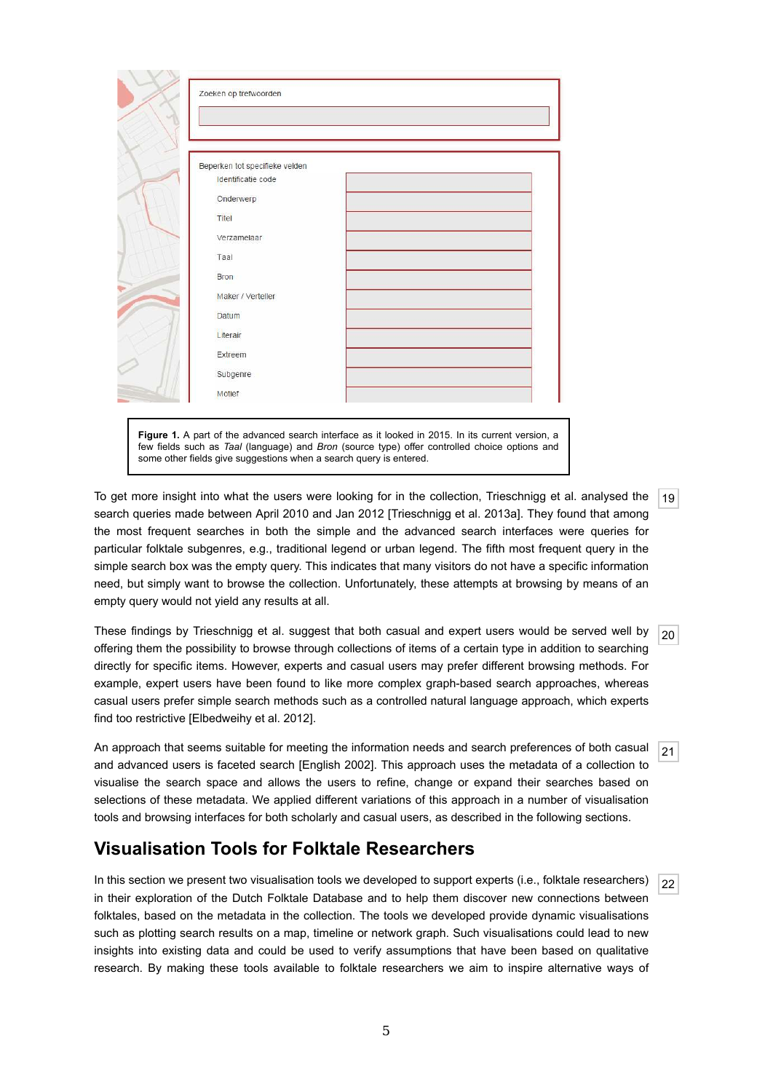| Zoeken op trefwoorden                                |  |
|------------------------------------------------------|--|
|                                                      |  |
|                                                      |  |
| Beperken tot specifieke velden<br>Identificatie code |  |
|                                                      |  |
| Onderwerp                                            |  |
| Titel                                                |  |
| Verzamelaar                                          |  |
| Taal                                                 |  |
| <b>Bron</b>                                          |  |
| Maker / Verteller                                    |  |
| <b>Datum</b>                                         |  |
| Literair                                             |  |
| Extreem                                              |  |
| Subgenre                                             |  |
| Motief                                               |  |

few fields such as *Taal* (language) and *Bron* (source type) offer controlled choice options and some other fields give suggestions when a search query is entered.

 $|19|$ To get more insight into what the users were looking for in the collection, Trieschnigg et al. analysed the search queries made between April 2010 and Jan 2012 [Trieschnigg et al. 2013a]. They found that among the most frequent searches in both the simple and the advanced search interfaces were queries for particular folktale subgenres, e.g., traditional legend or urban legend. The fifth most frequent query in the simple search box was the empty query. This indicates that many visitors do not have a specific information need, but simply want to browse the collection. Unfortunately, these attempts at browsing by means of an empty query would not yield any results at all.

 $|20|$ These findings by Trieschnigg et al. suggest that both casual and expert users would be served well by offering them the possibility to browse through collections of items of a certain type in addition to searching directly for specific items. However, experts and casual users may prefer different browsing methods. For example, expert users have been found to like more complex graph-based search approaches, whereas casual users prefer simple search methods such as a controlled natural language approach, which experts find too restrictive [Elbedweihy et al. 2012].

21 An approach that seems suitable for meeting the information needs and search preferences of both casual and advanced users is faceted search [English 2002]. This approach uses the metadata of a collection to visualise the search space and allows the users to refine, change or expand their searches based on selections of these metadata. We applied different variations of this approach in a number of visualisation tools and browsing interfaces for both scholarly and casual users, as described in the following sections.

# **Visualisation Tools for Folktale Researchers**

22 In this section we present two visualisation tools we developed to support experts (i.e., folktale researchers) in their exploration of the Dutch Folktale Database and to help them discover new connections between folktales, based on the metadata in the collection. The tools we developed provide dynamic visualisations such as plotting search results on a map, timeline or network graph. Such visualisations could lead to new insights into existing data and could be used to verify assumptions that have been based on qualitative research. By making these tools available to folktale researchers we aim to inspire alternative ways of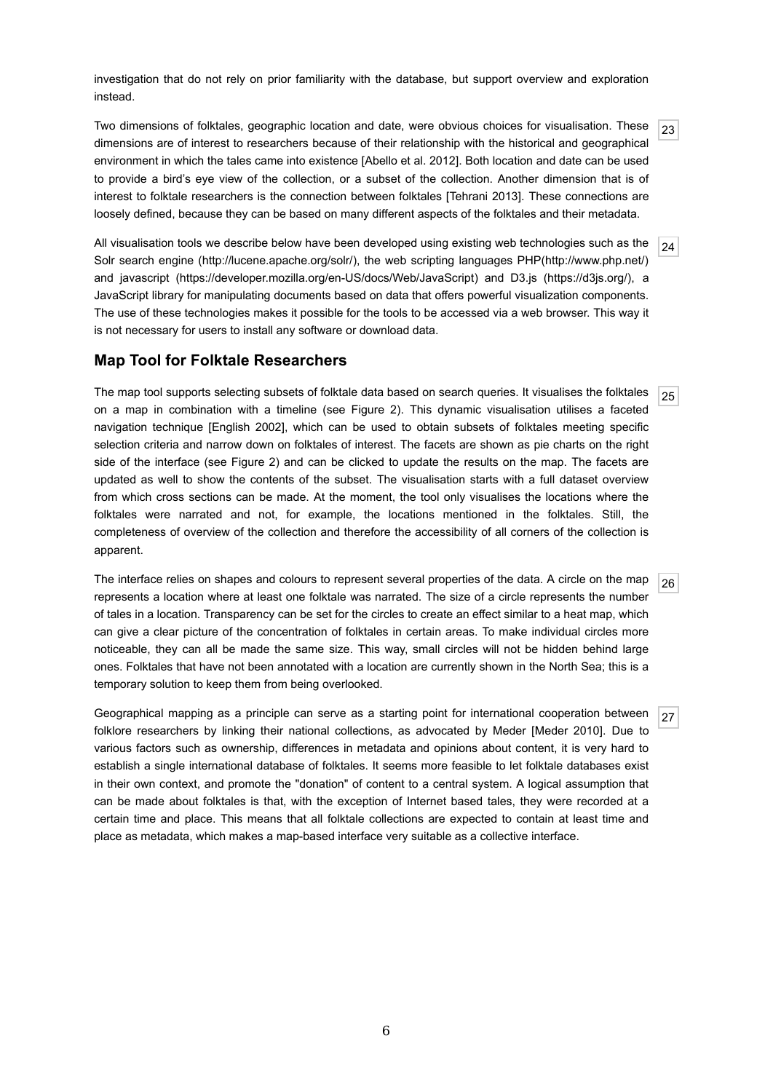investigation that do not rely on prior familiarity with the database, but support overview and exploration instead.

23 Two dimensions of folktales, geographic location and date, were obvious choices for visualisation. These dimensions are of interest to researchers because of their relationship with the historical and geographical environment in which the tales came into existence [Abello et al. 2012]. Both location and date can be used to provide a bird's eye view of the collection, or a subset of the collection. Another dimension that is of interest to folktale researchers is the connection between folktales [Tehrani 2013]. These connections are loosely defined, because they can be based on many different aspects of the folktales and their metadata.

24 All visualisation tools we describe below have been developed using existing web technologies such as the Solr search engine (http://lucene.apache.org/solr/), the web scripting languages PHP(http://www.php.net/) and javascript (https://developer.mozilla.org/en-US/docs/Web/JavaScript) and D3.js (https://d3js.org/), a JavaScript library for manipulating documents based on data that offers powerful visualization components. The use of these technologies makes it possible for the tools to be accessed via a web browser. This way it is not necessary for users to install any software or download data.

#### **Map Tool for Folktale Researchers**

25 The map tool supports selecting subsets of folktale data based on search queries. It visualises the folktales on a map in combination with a timeline (see Figure 2). This dynamic visualisation utilises a faceted navigation technique [English 2002], which can be used to obtain subsets of folktales meeting specific selection criteria and narrow down on folktales of interest. The facets are shown as pie charts on the right side of the interface (see Figure 2) and can be clicked to update the results on the map. The facets are updated as well to show the contents of the subset. The visualisation starts with a full dataset overview from which cross sections can be made. At the moment, the tool only visualises the locations where the folktales were narrated and not, for example, the locations mentioned in the folktales. Still, the completeness of overview of the collection and therefore the accessibility of all corners of the collection is apparent.

26 The interface relies on shapes and colours to represent several properties of the data. A circle on the map represents a location where at least one folktale was narrated. The size of a circle represents the number of tales in a location. Transparency can be set for the circles to create an effect similar to a heat map, which can give a clear picture of the concentration of folktales in certain areas. To make individual circles more noticeable, they can all be made the same size. This way, small circles will not be hidden behind large ones. Folktales that have not been annotated with a location are currently shown in the North Sea; this is a temporary solution to keep them from being overlooked.

27 Geographical mapping as a principle can serve as a starting point for international cooperation between folklore researchers by linking their national collections, as advocated by Meder [Meder 2010]. Due to various factors such as ownership, differences in metadata and opinions about content, it is very hard to establish a single international database of folktales. It seems more feasible to let folktale databases exist in their own context, and promote the "donation" of content to a central system. A logical assumption that can be made about folktales is that, with the exception of Internet based tales, they were recorded at a certain time and place. This means that all folktale collections are expected to contain at least time and place as metadata, which makes a map-based interface very suitable as a collective interface.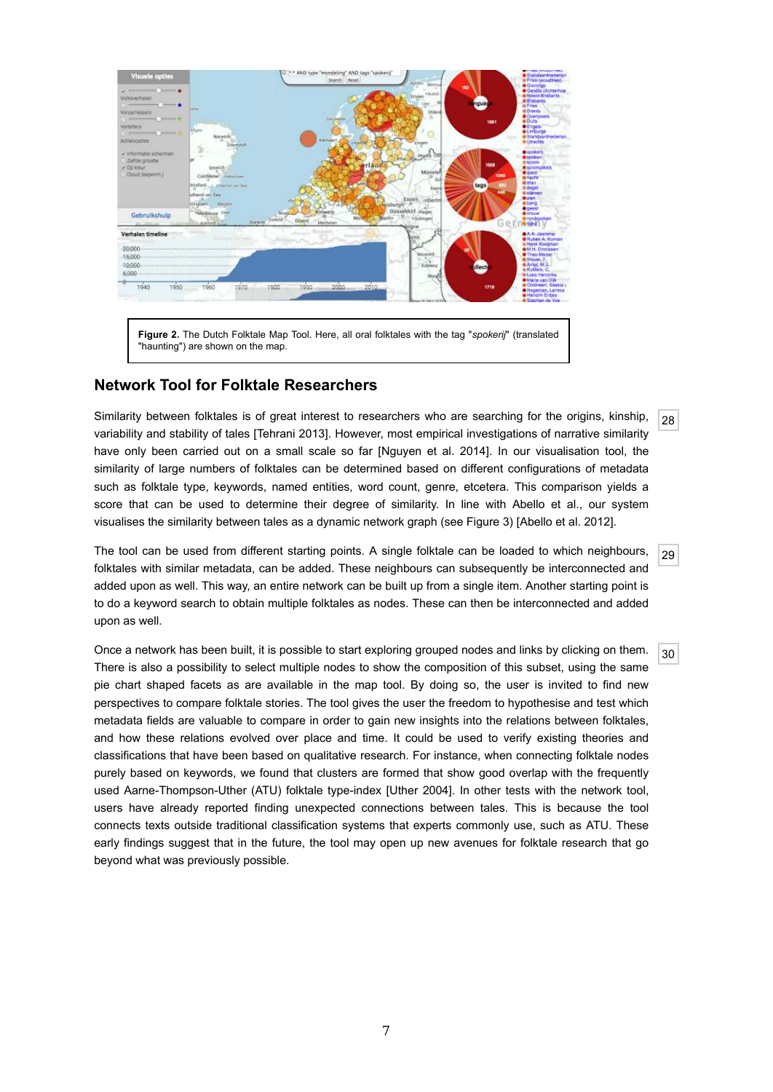

#### **Network Tool for Folktale Researchers**

28 Similarity between folktales is of great interest to researchers who are searching for the origins, kinship, variability and stability of tales [Tehrani 2013]. However, most empirical investigations of narrative similarity have only been carried out on a small scale so far [Nguyen et al. 2014]. In our visualisation tool, the similarity of large numbers of folktales can be determined based on different configurations of metadata such as folktale type, keywords, named entities, word count, genre, etcetera. This comparison yields a score that can be used to determine their degree of similarity. In line with Abello et al., our system visualises the similarity between tales as a dynamic network graph (see Figure 3) [Abello et al. 2012].

29 The tool can be used from different starting points. A single folktale can be loaded to which neighbours, folktales with similar metadata, can be added. These neighbours can subsequently be interconnected and added upon as well. This way, an entire network can be built up from a single item. Another starting point is to do a keyword search to obtain multiple folktales as nodes. These can then be interconnected and added upon as well.

30 Once a network has been built, it is possible to start exploring grouped nodes and links by clicking on them. There is also a possibility to select multiple nodes to show the composition of this subset, using the same pie chart shaped facets as are available in the map tool. By doing so, the user is invited to find new perspectives to compare folktale stories. The tool gives the user the freedom to hypothesise and test which metadata fields are valuable to compare in order to gain new insights into the relations between folktales, and how these relations evolved over place and time. It could be used to verify existing theories and classifications that have been based on qualitative research. For instance, when connecting folktale nodes purely based on keywords, we found that clusters are formed that show good overlap with the frequently used Aarne-Thompson-Uther (ATU) folktale type-index [Uther 2004]. In other tests with the network tool, users have already reported finding unexpected connections between tales. This is because the tool connects texts outside traditional classification systems that experts commonly use, such as ATU. These early findings suggest that in the future, the tool may open up new avenues for folktale research that go beyond what was previously possible.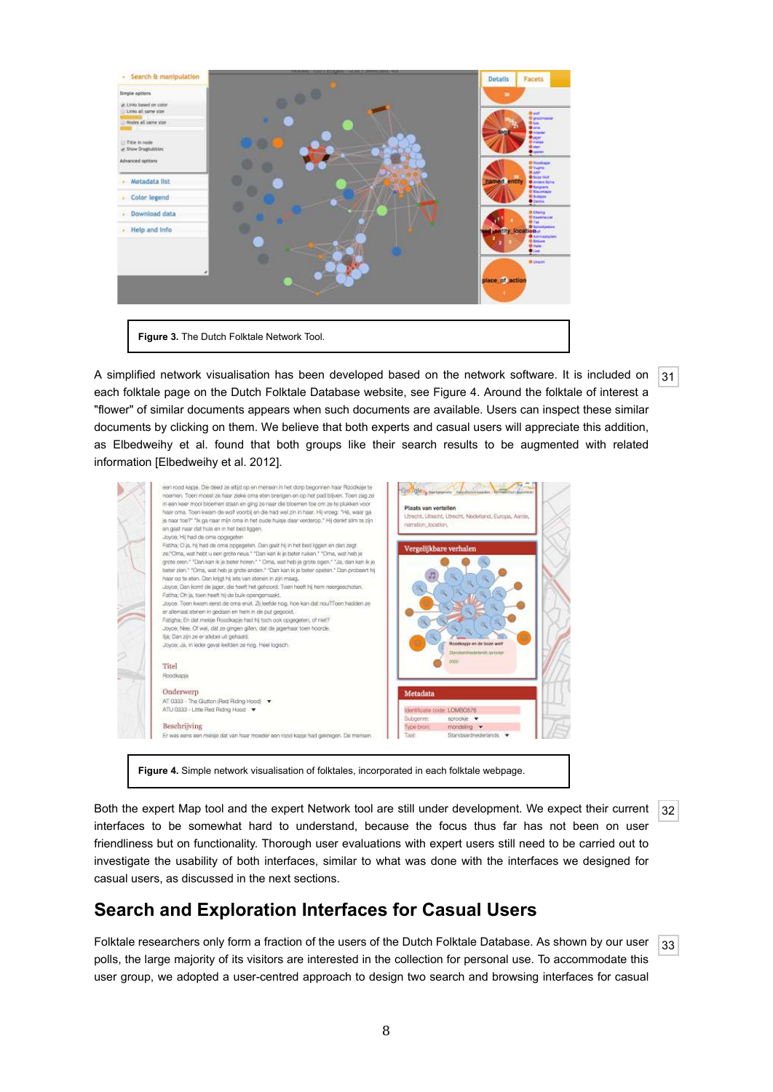

A simplified network visualisation has been developed based on the network software. It is included on each folktale page on the Dutch Folktale Database website, see Figure 4. Around the folktale of interest a "flower" of similar documents appears when such documents are available. Users can inspect these similar documents by clicking on them. We believe that both experts and casual users will appreciate this addition, as Elbedweihy et al. found that both groups like their search results to be augmented with related information [Elbedweihy et al. 2012].



32 Both the expert Map tool and the expert Network tool are still under development. We expect their current interfaces to be somewhat hard to understand, because the focus thus far has not been on user friendliness but on functionality. Thorough user evaluations with expert users still need to be carried out to investigate the usability of both interfaces, similar to what was done with the interfaces we designed for casual users, as discussed in the next sections.

# **Search and Exploration Interfaces for Casual Users**

33 Folktale researchers only form a fraction of the users of the Dutch Folktale Database. As shown by our user polls, the large majority of its visitors are interested in the collection for personal use. To accommodate this user group, we adopted a user-centred approach to design two search and browsing interfaces for casual

 $|31|$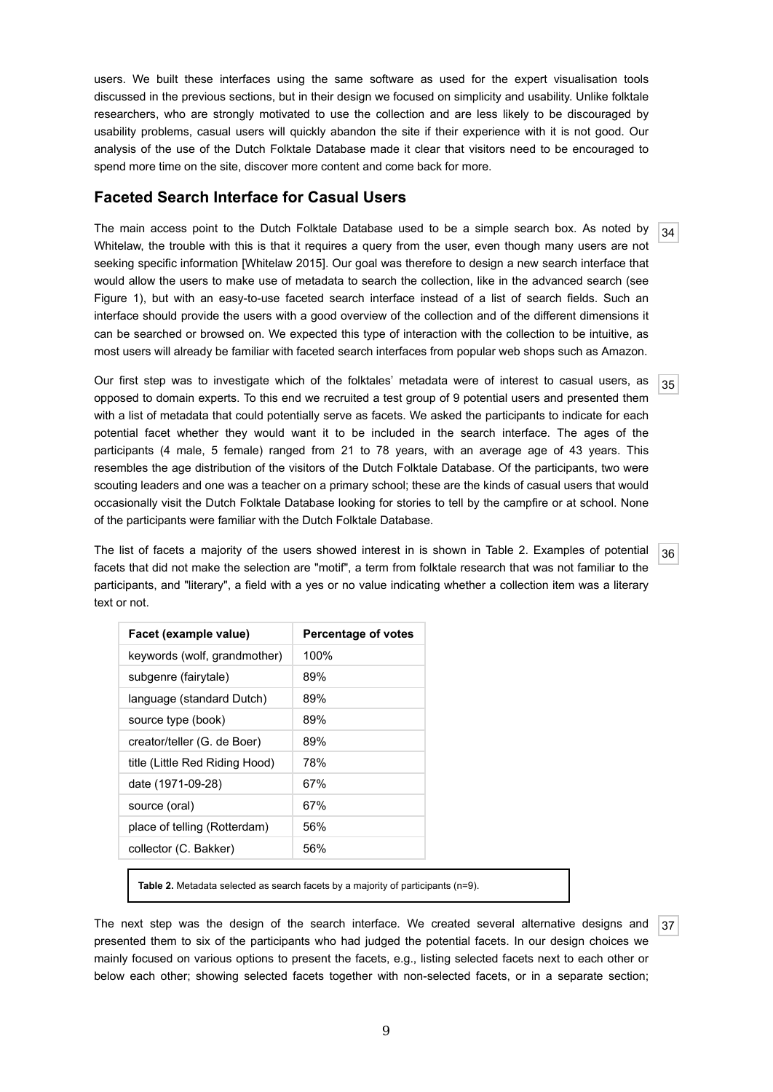users. We built these interfaces using the same software as used for the expert visualisation tools discussed in the previous sections, but in their design we focused on simplicity and usability. Unlike folktale researchers, who are strongly motivated to use the collection and are less likely to be discouraged by usability problems, casual users will quickly abandon the site if their experience with it is not good. Our analysis of the use of the Dutch Folktale Database made it clear that visitors need to be encouraged to spend more time on the site, discover more content and come back for more.

#### **Faceted Search Interface for Casual Users**

34 The main access point to the Dutch Folktale Database used to be a simple search box. As noted by Whitelaw, the trouble with this is that it requires a query from the user, even though many users are not seeking specific information [Whitelaw 2015]. Our goal was therefore to design a new search interface that would allow the users to make use of metadata to search the collection, like in the advanced search (see Figure 1), but with an easy-to-use faceted search interface instead of a list of search fields. Such an interface should provide the users with a good overview of the collection and of the different dimensions it can be searched or browsed on. We expected this type of interaction with the collection to be intuitive, as most users will already be familiar with faceted search interfaces from popular web shops such as Amazon.

35 Our first step was to investigate which of the folktales' metadata were of interest to casual users, as opposed to domain experts. To this end we recruited a test group of 9 potential users and presented them with a list of metadata that could potentially serve as facets. We asked the participants to indicate for each potential facet whether they would want it to be included in the search interface. The ages of the participants (4 male, 5 female) ranged from 21 to 78 years, with an average age of 43 years. This resembles the age distribution of the visitors of the Dutch Folktale Database. Of the participants, two were scouting leaders and one was a teacher on a primary school; these are the kinds of casual users that would occasionally visit the Dutch Folktale Database looking for stories to tell by the campfire or at school. None of the participants were familiar with the Dutch Folktale Database.

36 The list of facets a majority of the users showed interest in is shown in Table 2. Examples of potential facets that did not make the selection are "motif", a term from folktale research that was not familiar to the participants, and "literary", a field with a yes or no value indicating whether a collection item was a literary text or not.

| Percentage of votes |  |  |
|---------------------|--|--|
| 100%                |  |  |
| 89%                 |  |  |
| 89%                 |  |  |
| 89%                 |  |  |
| 89%                 |  |  |
| 78%                 |  |  |
| 67%                 |  |  |
| 67%                 |  |  |
| 56%                 |  |  |
| 56%                 |  |  |
|                     |  |  |

**Table 2.** Metadata selected as search facets by a majority of participants (n=9).

37 The next step was the design of the search interface. We created several alternative designs and presented them to six of the participants who had judged the potential facets. In our design choices we mainly focused on various options to present the facets, e.g., listing selected facets next to each other or below each other; showing selected facets together with non-selected facets, or in a separate section;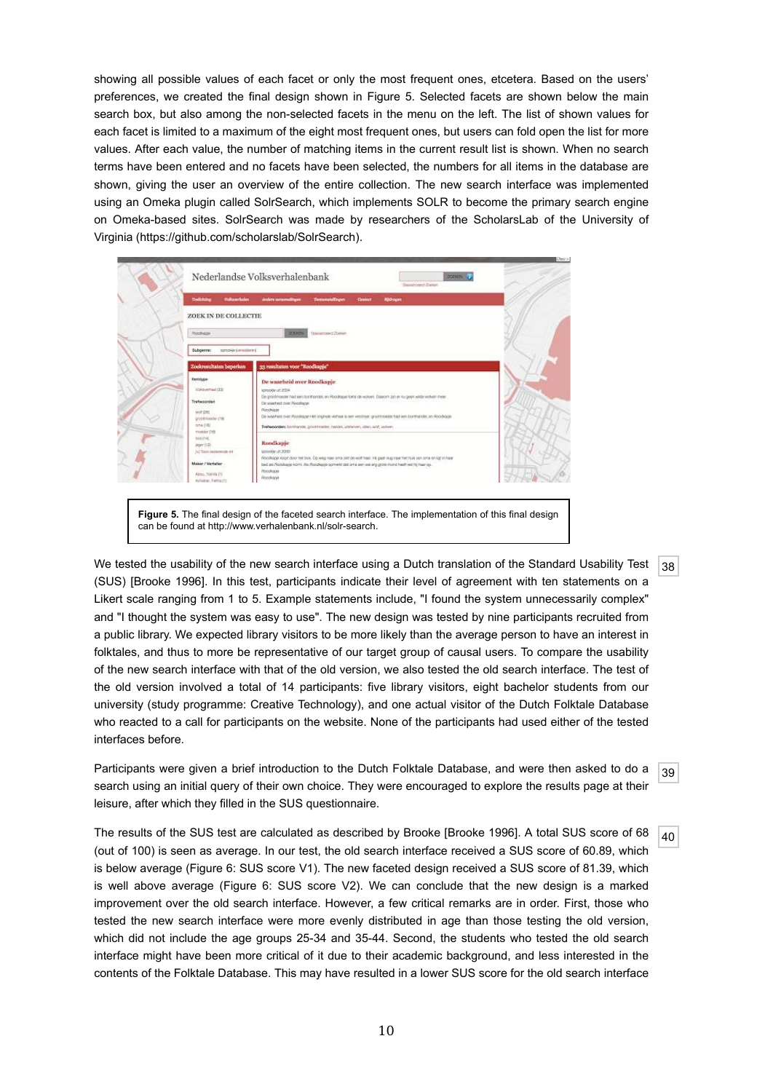showing all possible values of each facet or only the most frequent ones, etcetera. Based on the users' preferences, we created the final design shown in Figure 5. Selected facets are shown below the main search box, but also among the non-selected facets in the menu on the left. The list of shown values for each facet is limited to a maximum of the eight most frequent ones, but users can fold open the list for more values. After each value, the number of matching items in the current result list is shown. When no search terms have been entered and no facets have been selected, the numbers for all items in the database are shown, giving the user an overview of the entire collection. The new search interface was implemented using an Omeka plugin called SolrSearch, which implements SOLR to become the primary search engine on Omeka-based sites. SolrSearch was made by researchers of the ScholarsLab of the University of Virginia (https://github.com/scholarslab/SolrSearch).

|                                       |                                                                                                                                      | Date incovert Zorner |
|---------------------------------------|--------------------------------------------------------------------------------------------------------------------------------------|----------------------|
| Toddary<br><b>Volkswitcher</b>        | <b><i>Index sommitiges</i></b><br><b>Terramatilingen</b><br><b>Claimboot</b><br><b>Bildragen</b>                                     |                      |
| ZOEK IN DE COLLECTIE                  |                                                                                                                                      |                      |
| Roodvaces                             | Одиналович Волков<br>20021                                                                                                           |                      |
| Subcentre:<br>sprupes (universitying) |                                                                                                                                      |                      |
|                                       |                                                                                                                                      |                      |
| Zoekresultaten beperken               | 33 resultaten voor "Roodkapje"                                                                                                       |                      |
| Eemtype                               | De waarheid over Roodkapje                                                                                                           |                      |
| Volvo entrasi (33)                    | ADDITIONAL ARRESTS AT<br>De grootmoeder had een bonthandel, en Abodeaue totte de waven. Diserom zijn er ou geen wilde wolven meer.   |                      |
| <b>Trefwageded</b>                    | De waarheid over Plocolinger                                                                                                         |                      |
| with time.                            | <b><i>Picinelingua</i></b>                                                                                                           |                      |
| grootmoedw (19)                       | Do wbatheid over Roodlogge Het originale varhaal is een vecelitele gevotingsdat had een bonthatidat, on Roodhoger                    |                      |
| oria (HL<br>meder (16).               | Trefwoorders borthunder, gescorpseller, resider, utahaneen, villen, wolf, velliven                                                   |                      |
| tits (14)                             |                                                                                                                                      |                      |
| pger (12)                             | Roodkapje                                                                                                                            |                      |
| 34 Toon movement av                   |                                                                                                                                      |                      |
| Maker / Vertaller                     | bed as Abodopje korrit. Als Roodkapje opmerkt stat om a wer wei arg grote mond heeft keit hij maar op.                               |                      |
| About Yenne (1)                       | <b>PEXO-Rotate</b>                                                                                                                   |                      |
|                                       | spreakle uit 2000<br>Roodlage load door het bos. De weg naar oms ziet de wolf hear. He gaat in grear het hus van ans en ligt in hear |                      |

Figure 5. The final design of the faceted search interface. The implementation of this final design can be found at http://www.verhalenbank.nl/solr-search.

 $|38|$ We tested the usability of the new search interface using a Dutch translation of the Standard Usability Test (SUS) [Brooke 1996]. In this test, participants indicate their level of agreement with ten statements on a Likert scale ranging from 1 to 5. Example statements include, "I found the system unnecessarily complex" and "I thought the system was easy to use". The new design was tested by nine participants recruited from a public library. We expected library visitors to be more likely than the average person to have an interest in folktales, and thus to more be representative of our target group of causal users. To compare the usability of the new search interface with that of the old version, we also tested the old search interface. The test of the old version involved a total of 14 participants: five library visitors, eight bachelor students from our university (study programme: Creative Technology), and one actual visitor of the Dutch Folktale Database who reacted to a call for participants on the website. None of the participants had used either of the tested interfaces before.

39 Participants were given a brief introduction to the Dutch Folktale Database, and were then asked to do a search using an initial query of their own choice. They were encouraged to explore the results page at their leisure, after which they filled in the SUS questionnaire.

40 The results of the SUS test are calculated as described by Brooke [Brooke 1996]. A total SUS score of 68 (out of 100) is seen as average. In our test, the old search interface received a SUS score of 60.89, which is below average (Figure 6: SUS score V1). The new faceted design received a SUS score of 81.39, which is well above average (Figure 6: SUS score V2). We can conclude that the new design is a marked improvement over the old search interface. However, a few critical remarks are in order. First, those who tested the new search interface were more evenly distributed in age than those testing the old version, which did not include the age groups 25-34 and 35-44. Second, the students who tested the old search interface might have been more critical of it due to their academic background, and less interested in the contents of the Folktale Database. This may have resulted in a lower SUS score for the old search interface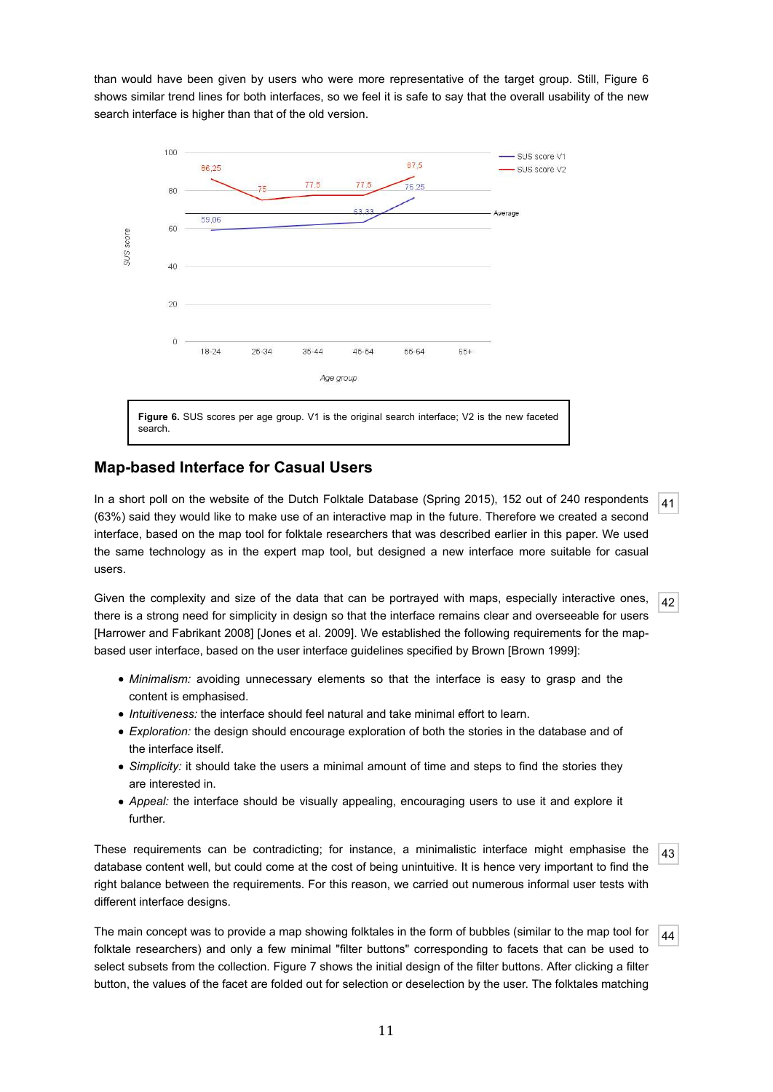than would have been given by users who were more representative of the target group. Still, Figure 6 shows similar trend lines for both interfaces, so we feel it is safe to say that the overall usability of the new search interface is higher than that of the old version.



#### **Map-based Interface for Casual Users**

41 In a short poll on the website of the Dutch Folktale Database (Spring 2015), 152 out of 240 respondents (63%) said they would like to make use of an interactive map in the future. Therefore we created a second interface, based on the map tool for folktale researchers that was described earlier in this paper. We used the same technology as in the expert map tool, but designed a new interface more suitable for casual users.

42 Given the complexity and size of the data that can be portrayed with maps, especially interactive ones, there is a strong need for simplicity in design so that the interface remains clear and overseeable for users [Harrower and Fabrikant 2008] [Jones et al. 2009]. We established the following requirements for the mapbased user interface, based on the user interface guidelines specified by Brown [Brown 1999]:

- *Minimalism:* avoiding unnecessary elements so that the interface is easy to grasp and the content is emphasised.
- *Intuitiveness:* the interface should feel natural and take minimal effort to learn.
- *Exploration:* the design should encourage exploration of both the stories in the database and of the interface itself.
- *Simplicity:* it should take the users a minimal amount of time and steps to find the stories they are interested in.
- *Appeal:* the interface should be visually appealing, encouraging users to use it and explore it further.

43 These requirements can be contradicting; for instance, a minimalistic interface might emphasise the database content well, but could come at the cost of being unintuitive. It is hence very important to find the right balance between the requirements. For this reason, we carried out numerous informal user tests with different interface designs.

44 The main concept was to provide a map showing folktales in the form of bubbles (similar to the map tool for folktale researchers) and only a few minimal "filter buttons" corresponding to facets that can be used to select subsets from the collection. Figure 7 shows the initial design of the filter buttons. After clicking a filter button, the values of the facet are folded out for selection or deselection by the user. The folktales matching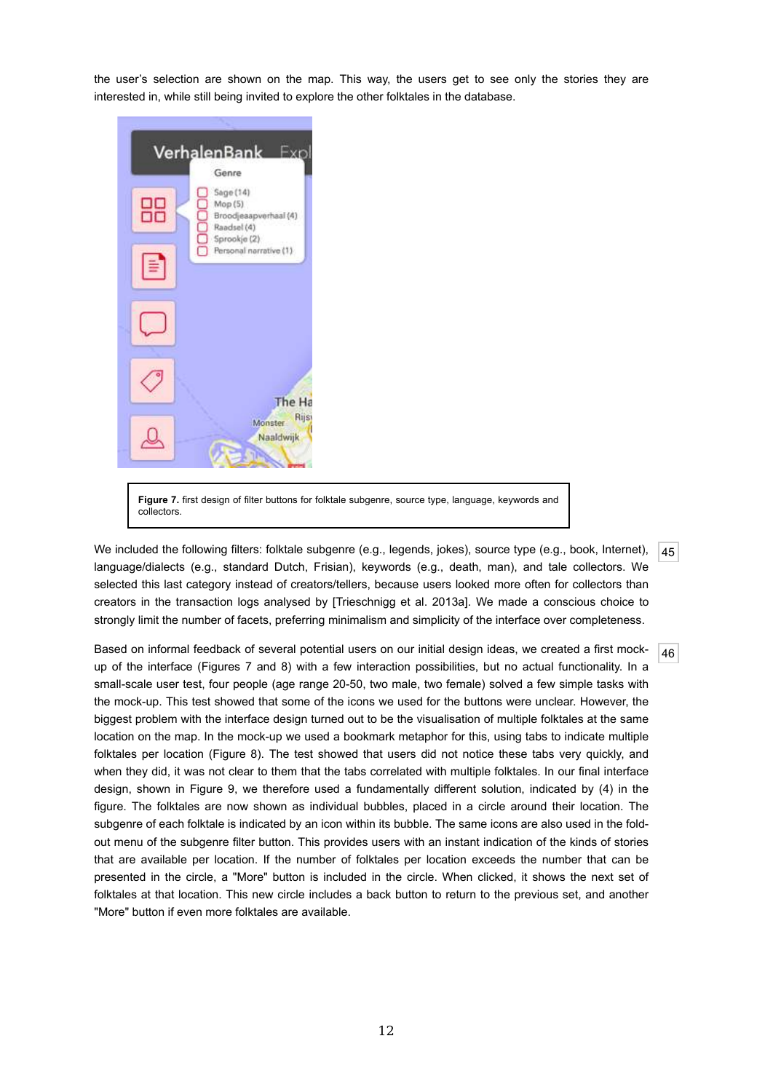the user's selection are shown on the map. This way, the users get to see only the stories they are interested in, while still being invited to explore the other folktales in the database.



**Figure 7.** first design of filter buttons for folktale subgenre, source type, language, keywords and collectors.

45 We included the following filters: folktale subgenre (e.g., legends, jokes), source type (e.g., book, Internet), language/dialects (e.g., standard Dutch, Frisian), keywords (e.g., death, man), and tale collectors. We selected this last category instead of creators/tellers, because users looked more often for collectors than creators in the transaction logs analysed by [Trieschnigg et al. 2013a]. We made a conscious choice to strongly limit the number of facets, preferring minimalism and simplicity of the interface over completeness.

46 Based on informal feedback of several potential users on our initial design ideas, we created a first mockup of the interface (Figures 7 and 8) with a few interaction possibilities, but no actual functionality. In a small-scale user test, four people (age range 20-50, two male, two female) solved a few simple tasks with the mock-up. This test showed that some of the icons we used for the buttons were unclear. However, the biggest problem with the interface design turned out to be the visualisation of multiple folktales at the same location on the map. In the mock-up we used a bookmark metaphor for this, using tabs to indicate multiple folktales per location (Figure 8). The test showed that users did not notice these tabs very quickly, and when they did, it was not clear to them that the tabs correlated with multiple folktales. In our final interface design, shown in Figure 9, we therefore used a fundamentally different solution, indicated by (4) in the figure. The folktales are now shown as individual bubbles, placed in a circle around their location. The subgenre of each folktale is indicated by an icon within its bubble. The same icons are also used in the foldout menu of the subgenre filter button. This provides users with an instant indication of the kinds of stories that are available per location. If the number of folktales per location exceeds the number that can be presented in the circle, a "More" button is included in the circle. When clicked, it shows the next set of folktales at that location. This new circle includes a back button to return to the previous set, and another "More" button if even more folktales are available.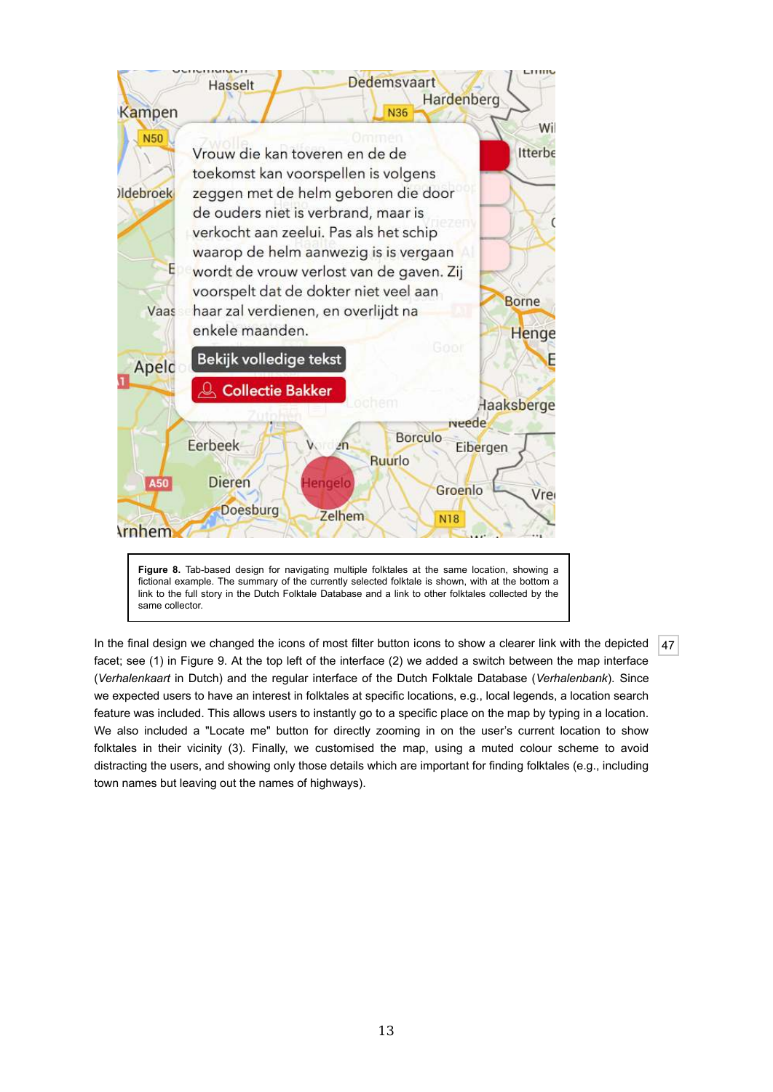

fictional example. The summary of the currently selected folktale is shown, with at the bottom a link to the full story in the Dutch Folktale Database and a link to other folktales collected by the same collector.

47 In the final design we changed the icons of most filter button icons to show a clearer link with the depicted facet; see (1) in Figure 9. At the top left of the interface (2) we added a switch between the map interface (*Verhalenkaart* in Dutch) and the regular interface of the Dutch Folktale Database (*Verhalenbank*). Since we expected users to have an interest in folktales at specific locations, e.g., local legends, a location search feature was included. This allows users to instantly go to a specific place on the map by typing in a location. We also included a "Locate me" button for directly zooming in on the user's current location to show folktales in their vicinity (3). Finally, we customised the map, using a muted colour scheme to avoid distracting the users, and showing only those details which are important for finding folktales (e.g., including town names but leaving out the names of highways).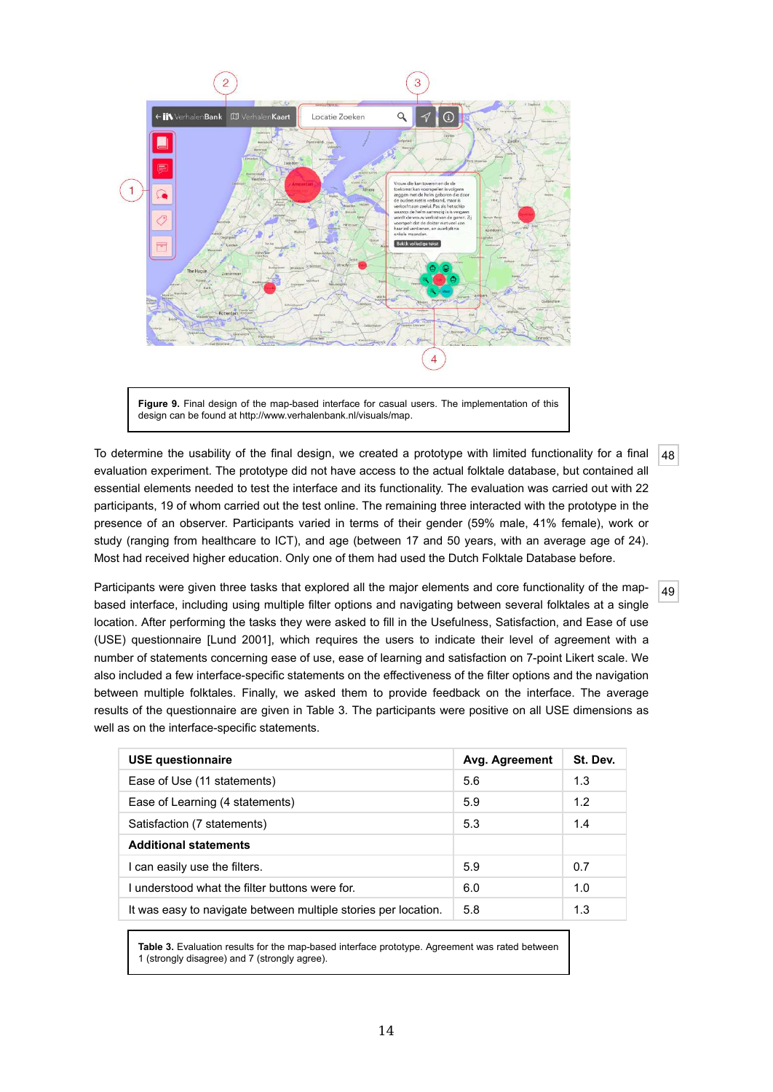

**Figure 9.** Final design of the map-based interface for casual users. The implementation of this design can be found at http://www.verhalenbank.nl/visuals/map.

48 To determine the usability of the final design, we created a prototype with limited functionality for a final evaluation experiment. The prototype did not have access to the actual folktale database, but contained all essential elements needed to test the interface and its functionality. The evaluation was carried out with 22 participants, 19 of whom carried out the test online. The remaining three interacted with the prototype in the presence of an observer. Participants varied in terms of their gender (59% male, 41% female), work or study (ranging from healthcare to ICT), and age (between 17 and 50 years, with an average age of 24). Most had received higher education. Only one of them had used the Dutch Folktale Database before.

49 Participants were given three tasks that explored all the major elements and core functionality of the mapbased interface, including using multiple filter options and navigating between several folktales at a single location. After performing the tasks they were asked to fill in the Usefulness, Satisfaction, and Ease of use (USE) questionnaire [Lund 2001], which requires the users to indicate their level of agreement with a number of statements concerning ease of use, ease of learning and satisfaction on 7-point Likert scale. We also included a few interface-specific statements on the effectiveness of the filter options and the navigation between multiple folktales. Finally, we asked them to provide feedback on the interface. The average results of the questionnaire are given in Table 3. The participants were positive on all USE dimensions as well as on the interface-specific statements.

| <b>USE questionnaire</b>                                       | Avg. Agreement | St. Dev. |
|----------------------------------------------------------------|----------------|----------|
| Ease of Use (11 statements)                                    | 5.6            | 1.3      |
| Ease of Learning (4 statements)                                | 5.9            | 1.2      |
| Satisfaction (7 statements)                                    | 5.3            | 1.4      |
| <b>Additional statements</b>                                   |                |          |
| I can easily use the filters.                                  | 5.9            | 0.7      |
| I understood what the filter buttons were for.                 | 6.0            | 1.0      |
| It was easy to navigate between multiple stories per location. | 5.8            | 1.3      |

Table 3. Evaluation results for the map-based interface prototype. Agreement was rated between 1 (strongly disagree) and 7 (strongly agree).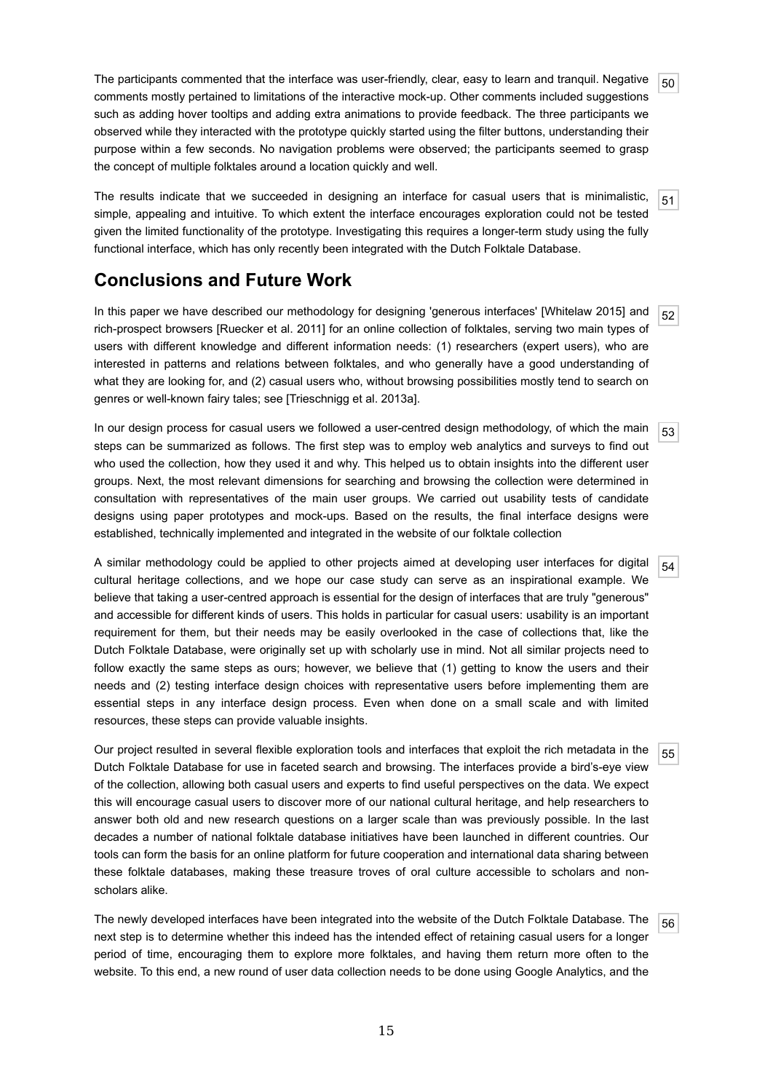$50<sup>1</sup>$ The participants commented that the interface was user-friendly, clear, easy to learn and tranquil. Negative comments mostly pertained to limitations of the interactive mock-up. Other comments included suggestions such as adding hover tooltips and adding extra animations to provide feedback. The three participants we observed while they interacted with the prototype quickly started using the filter buttons, understanding their purpose within a few seconds. No navigation problems were observed; the participants seemed to grasp the concept of multiple folktales around a location quickly and well.

51 The results indicate that we succeeded in designing an interface for casual users that is minimalistic, simple, appealing and intuitive. To which extent the interface encourages exploration could not be tested given the limited functionality of the prototype. Investigating this requires a longer-term study using the fully functional interface, which has only recently been integrated with the Dutch Folktale Database.

# **Conclusions and Future Work**

52 In this paper we have described our methodology for designing 'generous interfaces' [Whitelaw 2015] and rich-prospect browsers [Ruecker et al. 2011] for an online collection of folktales, serving two main types of users with different knowledge and different information needs: (1) researchers (expert users), who are interested in patterns and relations between folktales, and who generally have a good understanding of what they are looking for, and (2) casual users who, without browsing possibilities mostly tend to search on genres or well-known fairy tales; see [Trieschnigg et al. 2013a].

53 In our design process for casual users we followed a user-centred design methodology, of which the main steps can be summarized as follows. The first step was to employ web analytics and surveys to find out who used the collection, how they used it and why. This helped us to obtain insights into the different user groups. Next, the most relevant dimensions for searching and browsing the collection were determined in consultation with representatives of the main user groups. We carried out usability tests of candidate designs using paper prototypes and mock-ups. Based on the results, the final interface designs were established, technically implemented and integrated in the website of our folktale collection

54 A similar methodology could be applied to other projects aimed at developing user interfaces for digital cultural heritage collections, and we hope our case study can serve as an inspirational example. We believe that taking a user-centred approach is essential for the design of interfaces that are truly "generous" and accessible for different kinds of users. This holds in particular for casual users: usability is an important requirement for them, but their needs may be easily overlooked in the case of collections that, like the Dutch Folktale Database, were originally set up with scholarly use in mind. Not all similar projects need to follow exactly the same steps as ours; however, we believe that (1) getting to know the users and their needs and (2) testing interface design choices with representative users before implementing them are essential steps in any interface design process. Even when done on a small scale and with limited resources, these steps can provide valuable insights.

55 Our project resulted in several flexible exploration tools and interfaces that exploit the rich metadata in the Dutch Folktale Database for use in faceted search and browsing. The interfaces provide a bird's-eye view of the collection, allowing both casual users and experts to find useful perspectives on the data. We expect this will encourage casual users to discover more of our national cultural heritage, and help researchers to answer both old and new research questions on a larger scale than was previously possible. In the last decades a number of national folktale database initiatives have been launched in different countries. Our tools can form the basis for an online platform for future cooperation and international data sharing between these folktale databases, making these treasure troves of oral culture accessible to scholars and nonscholars alike.

56 The newly developed interfaces have been integrated into the website of the Dutch Folktale Database. The next step is to determine whether this indeed has the intended effect of retaining casual users for a longer period of time, encouraging them to explore more folktales, and having them return more often to the website. To this end, a new round of user data collection needs to be done using Google Analytics, and the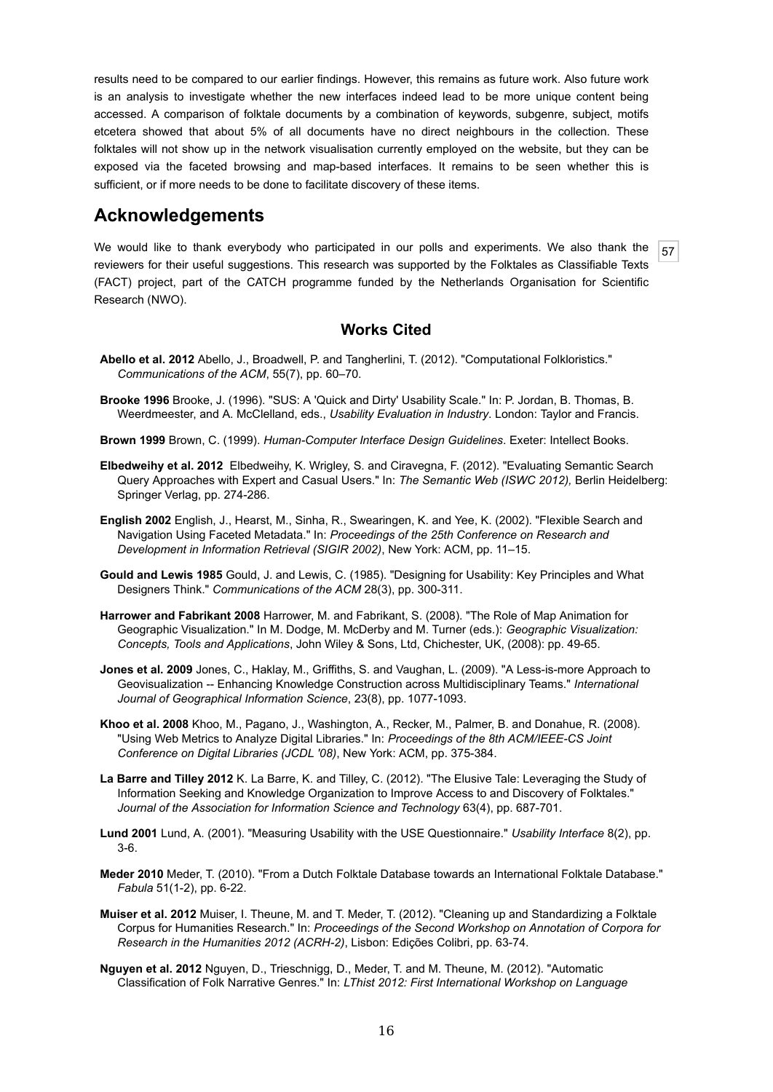results need to be compared to our earlier findings. However, this remains as future work. Also future work is an analysis to investigate whether the new interfaces indeed lead to be more unique content being accessed. A comparison of folktale documents by a combination of keywords, subgenre, subject, motifs etcetera showed that about 5% of all documents have no direct neighbours in the collection. These folktales will not show up in the network visualisation currently employed on the website, but they can be exposed via the faceted browsing and map-based interfaces. It remains to be seen whether this is sufficient, or if more needs to be done to facilitate discovery of these items.

### **Acknowledgements**

57 We would like to thank everybody who participated in our polls and experiments. We also thank the reviewers for their useful suggestions. This research was supported by the Folktales as Classifiable Texts (FACT) project, part of the CATCH programme funded by the Netherlands Organisation for Scientific Research (NWO).

#### **Works Cited**

- **Abello et al. 2012** Abello, J., Broadwell, P. and Tangherlini, T. (2012). "Computational Folkloristics." *Communications of the ACM*, 55(7), pp. 60–70.
- **Brooke 1996** Brooke, J. (1996). "SUS: A 'Quick and Dirty' Usability Scale." In: P. Jordan, B. Thomas, B. Weerdmeester, and A. McClelland, eds., *Usability Evaluation in Industry*. London: Taylor and Francis.
- **Brown 1999** Brown, C. (1999). *Human-Computer Interface Design Guidelines*. Exeter: Intellect Books.
- **Elbedweihy et al. 2012** Elbedweihy, K. Wrigley, S. and Ciravegna, F. (2012). "Evaluating Semantic Search Query Approaches with Expert and Casual Users." In: *The Semantic Web (ISWC 2012),* Berlin Heidelberg: Springer Verlag, pp. 274-286.
- **English 2002** English, J., Hearst, M., Sinha, R., Swearingen, K. and Yee, K. (2002). "Flexible Search and Navigation Using Faceted Metadata." In: *Proceedings of the 25th Conference on Research and Development in Information Retrieval (SIGIR 2002)*, New York: ACM, pp. 11–15.
- **Gould and Lewis 1985** Gould, J. and Lewis, C. (1985). "Designing for Usability: Key Principles and What Designers Think." *Communications of the ACM* 28(3), pp. 300-311.
- **Harrower and Fabrikant 2008** Harrower, M. and Fabrikant, S. (2008). "The Role of Map Animation for Geographic Visualization." In M. Dodge, M. McDerby and M. Turner (eds.): *Geographic Visualization: Concepts, Tools and Applications*, John Wiley & Sons, Ltd, Chichester, UK, (2008): pp. 49-65.
- **Jones et al. 2009** Jones, C., Haklay, M., Griffiths, S. and Vaughan, L. (2009). "A Less-is-more Approach to Geovisualization -- Enhancing Knowledge Construction across Multidisciplinary Teams." *International Journal of Geographical Information Science*, 23(8), pp. 1077-1093.
- **Khoo et al. 2008** Khoo, M., Pagano, J., Washington, A., Recker, M., Palmer, B. and Donahue, R. (2008). "Using Web Metrics to Analyze Digital Libraries." In: *Proceedings of the 8th ACM/IEEE-CS Joint Conference on Digital Libraries (JCDL '08)*, New York: ACM, pp. 375-384.
- **La Barre and Tilley 2012** K. La Barre, K. and Tilley, C. (2012). "The Elusive Tale: Leveraging the Study of Information Seeking and Knowledge Organization to Improve Access to and Discovery of Folktales." *Journal of the Association for Information Science and Technology* 63(4), pp. 687-701.
- **Lund 2001** Lund, A. (2001). "Measuring Usability with the USE Questionnaire." *Usability Interface* 8(2), pp. 3-6.
- **Meder 2010** Meder, T. (2010). "From a Dutch Folktale Database towards an International Folktale Database." *Fabula* 51(1-2), pp. 6-22.
- **Muiser et al. 2012** Muiser, I. Theune, M. and T. Meder, T. (2012). "Cleaning up and Standardizing a Folktale Corpus for Humanities Research." In: *Proceedings of the Second Workshop on Annotation of Corpora for Research in the Humanities 2012 (ACRH-2)*, Lisbon: Edições Colibri, pp. 63-74.
- **Nguyen et al. 2012** Nguyen, D., Trieschnigg, D., Meder, T. and M. Theune, M. (2012). "Automatic Classification of Folk Narrative Genres." In: *LThist 2012: First International Workshop on Language*